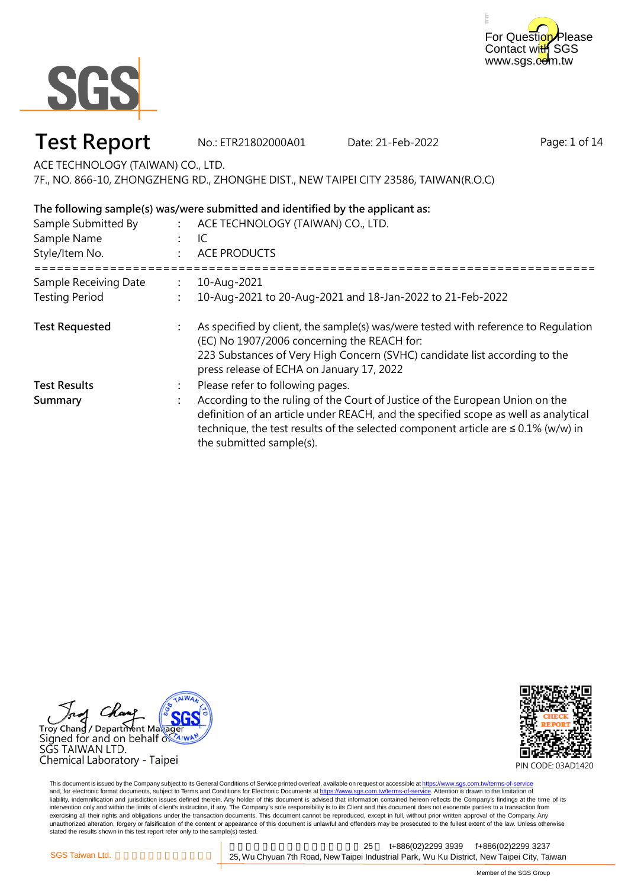



### **Test Report** No.: ETR21802000A01 Date: 21-Feb-2022

Page: 1 of 14

ACE TECHNOLOGY (TAIWAN) CO., LTD.

7F., NO. 866-10, ZHONGZHENG RD., ZHONGHE DIST., NEW TAIPEI CITY 23586, TAIWAN(R.O.C)

#### **The following sample(s) was/were submitted and identified by the applicant as:**

| Sample Submitted By<br>Sample Name<br>Style/Item No. | ACE TECHNOLOGY (TAIWAN) CO., LTD.<br>IC<br><b>ACE PRODUCTS</b>                                                                                                                                                                                                                            |
|------------------------------------------------------|-------------------------------------------------------------------------------------------------------------------------------------------------------------------------------------------------------------------------------------------------------------------------------------------|
| Sample Receiving Date<br><b>Testing Period</b>       | 10-Aug-2021<br>10-Aug-2021 to 20-Aug-2021 and 18-Jan-2022 to 21-Feb-2022                                                                                                                                                                                                                  |
| <b>Test Requested</b>                                | As specified by client, the sample(s) was/were tested with reference to Regulation<br>(EC) No 1907/2006 concerning the REACH for:<br>223 Substances of Very High Concern (SVHC) candidate list according to the<br>press release of ECHA on January 17, 2022                              |
| <b>Test Results</b>                                  | Please refer to following pages.                                                                                                                                                                                                                                                          |
| Summary                                              | According to the ruling of the Court of Justice of the European Union on the<br>definition of an article under REACH, and the specified scope as well as analytical<br>technique, the test results of the selected component article are $\leq$ 0.1% (w/w) in<br>the submitted sample(s). |





PIN CODE: 03AD1420

This document is issued by the Company subject to its General Conditions of Service printed overleaf, available on request or accessible at <u>https://www.sgs.com.tw/terms-of-service</u><br>and, for electronic format documents, su liability, indemnification and jurisdiction issues defined therein. Any holder of this document is advised that information contained hereon reflects the Company's findings at the time of its intervention only and within the limits of client's instruction, if any. The Company's sole responsibility is to its Client and this document does not exonerate parties to a transaction from exercising all their rights and obligations under the transaction documents. This document cannot be reproduced, except in full, without prior written approval of the Company. Any<br>unauthorized alteration, forgery or falsif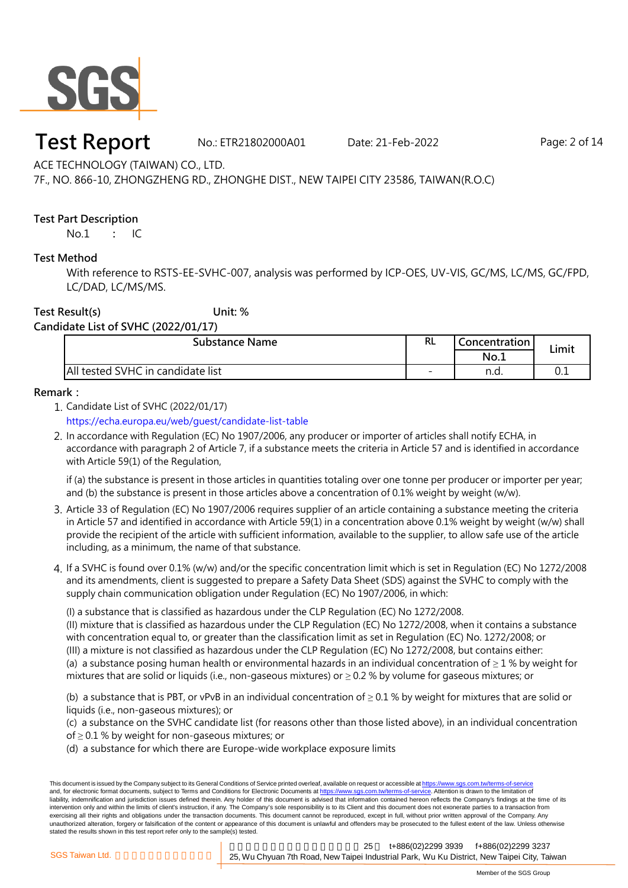

### **Test Report** No.: ETR21802000A01 Date: 21-Feb-2022 Page: 2 of 14

ACE TECHNOLOGY (TAIWAN) CO., LTD.

7F., NO. 866-10, ZHONGZHENG RD., ZHONGHE DIST., NEW TAIPEI CITY 23586, TAIWAN(R.O.C)

#### **Test Part Description**

No.1 **:**  $\therefore$  IC

#### **Test Method**

With reference to RSTS-EE-SVHC-007, analysis was performed by ICP-OES, UV-VIS, GC/MS, LC/MS, GC/FPD, LC/DAD, LC/MS/MS.

### **Test Result(s) Unit: %**

#### **Candidate List of SVHC (2022/01/17)**

| Substance Name                    | <b>RL</b>                | Concentration I | Limit |
|-----------------------------------|--------------------------|-----------------|-------|
|                                   |                          | No.1            |       |
| All tested SVHC in candidate list | $\overline{\phantom{a}}$ | n.d.            | 0.1   |

#### **Remark:**

- 1. Candidate List of SVHC (2022/01/17) [https://](https://echa.europa.eu/web/guest/candidate-list-table)echa.europa.eu/web/guest/candidate-list-table
- 2. In accordance with Regulation (EC) No 1907/2006, any producer or importer of articles shall notify ECHA, in accordance with paragraph 2 of Article 7, if a substance meets the criteria in Article 57 and is identified in accordance with Article 59(1) of the Regulation,

if (a) the substance is present in those articles in quantities totaling over one tonne per producer or importer per year; and (b) the substance is present in those articles above a concentration of 0.1% weight by weight (w/w).

- 3. Article 33 of Regulation (EC) No 1907/2006 requires supplier of an article containing a substance meeting the criteria in Article 57 and identified in accordance with Article 59(1) in a concentration above 0.1% weight by weight (w/w) shall provide the recipient of the article with sufficient information, available to the supplier, to allow safe use of the article including, as a minimum, the name of that substance.
- 4. If a SVHC is found over 0.1% (w/w) and/or the specific concentration limit which is set in Regulation (EC) No 1272/2008 and its amendments, client is suggested to prepare a Safety Data Sheet (SDS) against the SVHC to comply with the supply chain communication obligation under Regulation (EC) No 1907/2006, in which:

(I) a substance that is classified as hazardous under the CLP Regulation (EC) No 1272/2008.

(II) mixture that is classified as hazardous under the CLP Regulation (EC) No 1272/2008, when it contains a substance with concentration equal to, or greater than the classification limit as set in Regulation (EC) No. 1272/2008; or (III) a mixture is not classified as hazardous under the CLP Regulation (EC) No 1272/2008, but contains either: (a) a substance posing human health or environmental hazards in an individual concentration of  $\geq 1$  % by weight for mixtures that are solid or liquids (i.e., non-gaseous mixtures) or  $\geq$  0.2 % by volume for gaseous mixtures; or

(b) a substance that is PBT, or vPvB in an individual concentration of  $\geq 0.1$  % by weight for mixtures that are solid or liquids (i.e., non-gaseous mixtures); or

(c) a substance on the SVHC candidate list (for reasons other than those listed above), in an individual concentration of ≥ 0.1 % by weight for non-gaseous mixtures; or

(d) a substance for which there are Europe-wide workplace exposure limits

This document is issued by the Company subject to its General Conditions of Service printed overleaf, available on request or accessible at https://www.sgs.com.tw/terms-of-service and, for electronic format documents, subject to Terms and Conditions for Electronic Documents at https://www.sgs.com.tw/terms-of-service. Attention is drawn to the limitation of liability, indemnification and jurisdiction issues defined therein. Any holder of this document is advised that information contained hereon reflects the Company's findings at the time of its intervention only and within the limits of client's instruction, if any. The Company's sole responsibility is to its Client and this document does not exonerate parties to a transaction from exercising all their rights and obligations under the transaction documents. This document cannot be reproduced, except in full, without prior written approval of the Company. Any unauthorized alteration, forgery or falsification of the content or appearance of this document is unlawful and offenders may be prosecuted to the fullest extent of the law. Unless otherwise stated the results shown in this test report refer only to the sample(s) tested.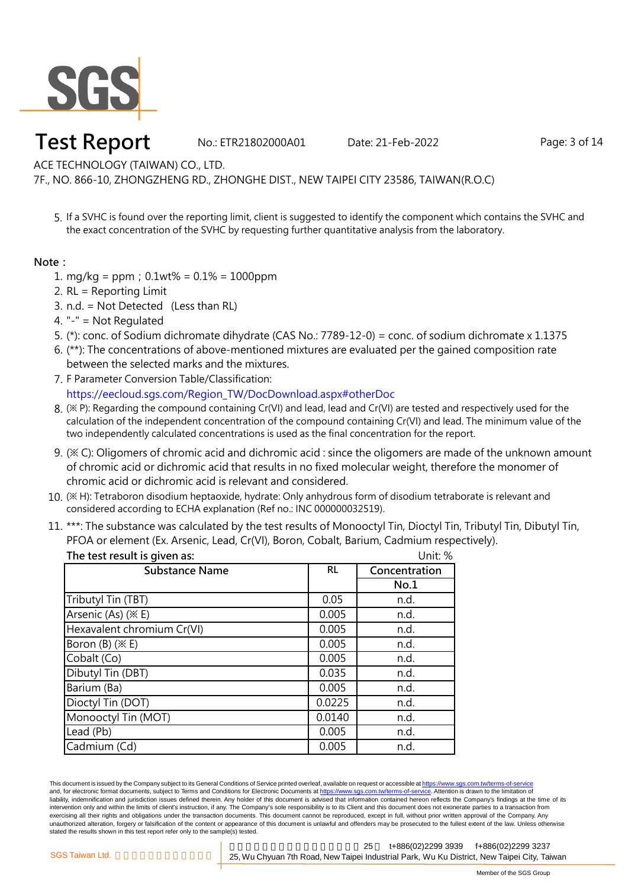

### **Test Report** No.: ETR21802000A01 Date: 21-Feb-2022 Page: 3 of 14

ACE TECHNOLOGY (TAIWAN) CO., LTD.

7F., NO. 866-10, ZHONGZHENG RD., ZHONGHE DIST., NEW TAIPEI CITY 23586, TAIWAN(R.O.C)

5. If a SVHC is found over the reporting limit, client is suggested to identify the component which contains the SVHC and the exact concentration of the SVHC by requesting further quantitative analysis from the laboratory.

#### **Note:**

- 1. mg/kg = ppm;0.1wt% = 0.1% = 1000ppm
- 2. RL = Reporting Limit
- 3. n.d. = Not Detected (Less than RL)
- 4. "-" = Not Regulated
- 5. (\*): conc. of Sodium dichromate dihydrate (CAS No.: 7789-12-0) = conc. of sodium dichromate x 1.1375
- 6. (\*\*): The concentrations of above-mentioned mixtures are evaluated per the gained composition rate between the selected marks and the mixtures.
- 7. F Parameter Conversion Table/Classification: [https:/](https://eecloud.sgs.com/Region_TW/DocDownload.aspx#otherDoc)/eecloud.sgs.com/Region\_TW/DocDownload.aspx#otherDoc
- 8. (※ P): Regarding the compound containing Cr(VI) and lead, lead and Cr(VI) are tested and respectively used for the calculation of the independent concentration of the compound containing Cr(VI) and lead. The minimum value of the two independently calculated concentrations is used as the final concentration for the report.
- 9. (※ C): Oligomers of chromic acid and dichromic acid : since the oligomers are made of the unknown amount of chromic acid or dichromic acid that results in no fixed molecular weight, therefore the monomer of chromic acid or dichromic acid is relevant and considered.
- 10. (※ H): Tetraboron disodium heptaoxide, hydrate: Only anhydrous form of disodium tetraborate is relevant and considered according to ECHA explanation (Ref no.: INC 000000032519).
- 11. \*\*\*: The substance was calculated by the test results of Monooctyl Tin, Dioctyl Tin, Tributyl Tin, Dibutyl Tin, PFOA or element (Ex. Arsenic, Lead, Cr(VI), Boron, Cobalt, Barium, Cadmium respectively).

| The test result is given as: |           | Unit: %       |
|------------------------------|-----------|---------------|
| <b>Substance Name</b>        | <b>RL</b> | Concentration |
|                              |           | No.1          |
| Tributyl Tin (TBT)           | 0.05      | n.d.          |
| Arsenic (As) (※ E)           | 0.005     | n.d.          |
| Hexavalent chromium Cr(VI)   | 0.005     | n.d.          |
| Boron $(B)$ $(XE)$           | 0.005     | n.d.          |
| Cobalt (Co)                  | 0.005     | n.d.          |
| Dibutyl Tin (DBT)            | 0.035     | n.d.          |
| Barium (Ba)                  | 0.005     | n.d.          |
| Dioctyl Tin (DOT)            | 0.0225    | n.d.          |
| Monooctyl Tin (MOT)          | 0.0140    | n.d.          |
| Lead (Pb)                    | 0.005     | n.d.          |
| Cadmium (Cd)                 | 0.005     | n.d.          |

This document is issued by the Company subject to its General Conditions of Service printed overleaf, available on request or accessible at https://www.sgs.com.tw/terms-of-service and, for electronic format documents, subject to Terms and Conditions for Electronic Documents at https://www.sgs.com.tw/terms-of-service. Attention is drawn to the limitation of liability, indemnification and jurisdiction issues defined therein. Any holder of this document is advised that information contained hereon reflects the Company's findings at the time of its intervention only and within the limits of client's instruction, if any. The Company's sole responsibility is to its Client and this document does not exonerate parties to a transaction from exercising all their rights and obligations under the transaction documents. This document cannot be reproduced, except in full, without prior written approval of the Company. Any unauthorized alteration, forgery or falsification of the content or appearance of this document is unlawful and offenders may be prosecuted to the fullest extent of the law. Unless otherwise stated the results shown in this test report refer only to the sample(s) tested.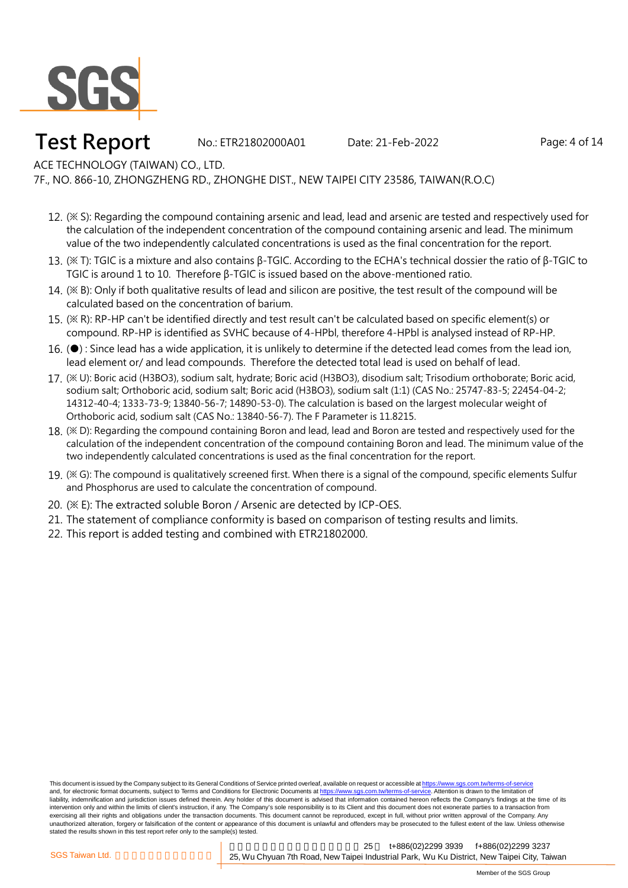

### **Test Report** No.: ETR21802000A01 Date: 21-Feb-2022 Page: 4 of 14

ACE TECHNOLOGY (TAIWAN) CO., LTD.

#### 7F., NO. 866-10, ZHONGZHENG RD., ZHONGHE DIST., NEW TAIPEI CITY 23586, TAIWAN(R.O.C)

- 12. (※ S): Regarding the compound containing arsenic and lead, lead and arsenic are tested and respectively used for the calculation of the independent concentration of the compound containing arsenic and lead. The minimum value of the two independently calculated concentrations is used as the final concentration for the report.
- 13. (※ T): TGIC is a mixture and also contains β-TGIC. According to the ECHA's technical dossier the ratio of β-TGIC to TGIC is around 1 to 10. Therefore β-TGIC is issued based on the above-mentioned ratio.
- 14. (※ B): Only if both qualitative results of lead and silicon are positive, the test result of the compound will be calculated based on the concentration of barium.
- 15. (※ R): RP-HP can't be identified directly and test result can't be calculated based on specific element(s) or compound. RP-HP is identified as SVHC because of 4-HPbl, therefore 4-HPbl is analysed instead of RP-HP.
- 16. (●) : Since lead has a wide application, it is unlikely to determine if the detected lead comes from the lead ion, lead element or/ and lead compounds. Therefore the detected total lead is used on behalf of lead.
- 17. (※ U): Boric acid (H3BO3), sodium salt, hydrate; Boric acid (H3BO3), disodium salt; Trisodium orthoborate; Boric acid, sodium salt; Orthoboric acid, sodium salt; Boric acid (H3BO3), sodium salt (1:1) (CAS No.: 25747-83-5; 22454-04-2; 14312-40-4; 1333-73-9; 13840-56-7; 14890-53-0). The calculation is based on the largest molecular weight of Orthoboric acid, sodium salt (CAS No.: 13840-56-7). The F Parameter is 11.8215.
- 18. (※ D): Regarding the compound containing Boron and lead, lead and Boron are tested and respectively used for the calculation of the independent concentration of the compound containing Boron and lead. The minimum value of the two independently calculated concentrations is used as the final concentration for the report.
- 19. (※ G): The compound is qualitatively screened first. When there is a signal of the compound, specific elements Sulfur and Phosphorus are used to calculate the concentration of compound.
- 20. (※ E): The extracted soluble Boron / Arsenic are detected by ICP-OES.
- 21. The statement of compliance conformity is based on comparison of testing results and limits.
- 22. This report is added testing and combined with ETR21802000.

This document is issued by the Company subject to its General Conditions of Service printed overleaf, available on request or accessible at https://www.sgs.com.tw/terms-of-service and, for electronic format documents, subject to Terms and Conditions for Electronic Documents at https://www.sgs.com.tw/terms-of-service. Attention is drawn to the limitation of liability, indemnification and jurisdiction issues defined therein. Any holder of this document is advised that information contained hereon reflects the Company's findings at the time of its intervention only and within the limits of client's instruction, if any. The Company's sole responsibility is to its Client and this document does not exonerate parties to a transaction from exercising all their rights and obligations under the transaction documents. This document cannot be reproduced, except in full, without prior written approval of the Company. Any unauthorized alteration, forgery or falsification of the content or appearance of this document is unlawful and offenders may be prosecuted to the fullest extent of the law. Unless otherwise stated the results shown in this test report refer only to the sample(s) tested.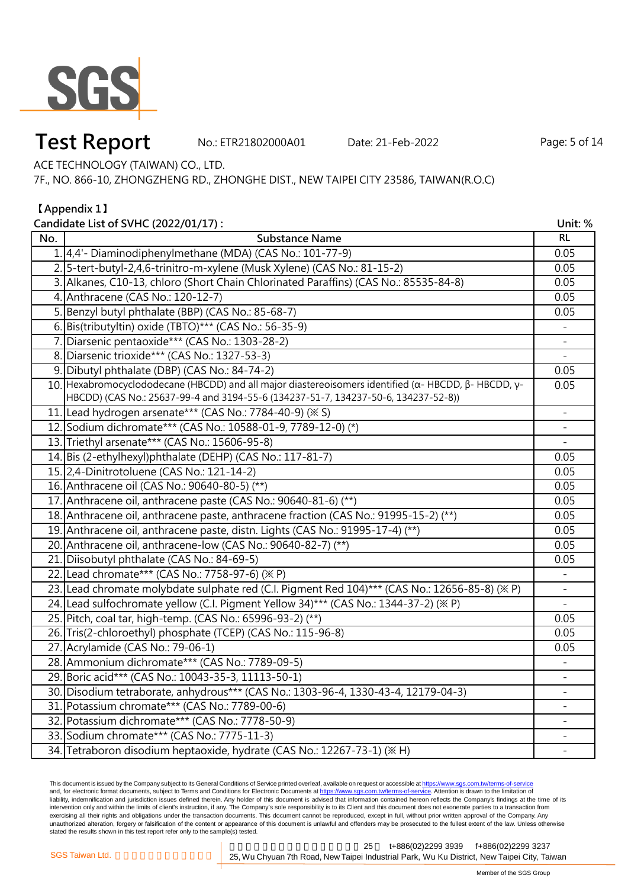

# **Test Report** No.: ETR21802000A01 Date: 21-Feb-2022 Page: 5 of 14

**Unit: %**

ACE TECHNOLOGY (TAIWAN) CO., LTD.

7F., NO. 866-10, ZHONGZHENG RD., ZHONGHE DIST., NEW TAIPEI CITY 23586, TAIWAN(R.O.C)

#### **【Appendix 1】**

**Candidate List of SVHC (2022/01/17) :**

| No. | <b>Substance Name</b>                                                                                                                                                                      | <b>RL</b>                    |
|-----|--------------------------------------------------------------------------------------------------------------------------------------------------------------------------------------------|------------------------------|
|     | 1. 4,4'- Diaminodiphenylmethane (MDA) (CAS No.: 101-77-9)                                                                                                                                  | 0.05                         |
|     | 2. 5-tert-butyl-2,4,6-trinitro-m-xylene (Musk Xylene) (CAS No.: 81-15-2)                                                                                                                   | 0.05                         |
|     | 3. Alkanes, C10-13, chloro (Short Chain Chlorinated Paraffins) (CAS No.: 85535-84-8)                                                                                                       | 0.05                         |
|     | 4. Anthracene (CAS No.: 120-12-7)                                                                                                                                                          | 0.05                         |
|     | 5. Benzyl butyl phthalate (BBP) (CAS No.: 85-68-7)                                                                                                                                         | 0.05                         |
|     | 6. Bis(tributyltin) oxide (TBTO)*** (CAS No.: 56-35-9)                                                                                                                                     |                              |
|     | 7. Diarsenic pentaoxide*** (CAS No.: 1303-28-2)                                                                                                                                            |                              |
|     | 8. Diarsenic trioxide*** (CAS No.: 1327-53-3)                                                                                                                                              |                              |
|     | 9. Dibutyl phthalate (DBP) (CAS No.: 84-74-2)                                                                                                                                              | 0.05                         |
|     | 10. Hexabromocyclododecane (HBCDD) and all major diastereoisomers identified (α- HBCDD, β- HBCDD, γ-<br>HBCDD) (CAS No.: 25637-99-4 and 3194-55-6 (134237-51-7, 134237-50-6, 134237-52-8)) | 0.05                         |
|     | 11. Lead hydrogen arsenate*** (CAS No.: 7784-40-9) (* S)                                                                                                                                   | $\equiv$                     |
|     | 12. Sodium dichromate*** (CAS No.: 10588-01-9, 7789-12-0) (*)                                                                                                                              |                              |
|     | 13. Triethyl arsenate*** (CAS No.: 15606-95-8)                                                                                                                                             |                              |
|     | 14. Bis (2-ethylhexyl)phthalate (DEHP) (CAS No.: 117-81-7)                                                                                                                                 | 0.05                         |
|     | 15. 2,4-Dinitrotoluene (CAS No.: 121-14-2)                                                                                                                                                 | 0.05                         |
|     | 16. Anthracene oil (CAS No.: 90640-80-5) (**)                                                                                                                                              | 0.05                         |
|     | 17. Anthracene oil, anthracene paste (CAS No.: 90640-81-6) (**)                                                                                                                            | 0.05                         |
|     | 18. Anthracene oil, anthracene paste, anthracene fraction (CAS No.: 91995-15-2) (**)                                                                                                       | 0.05                         |
|     | 19. Anthracene oil, anthracene paste, distn. Lights (CAS No.: 91995-17-4) (**)                                                                                                             | 0.05                         |
|     | 20. Anthracene oil, anthracene-low (CAS No.: 90640-82-7) (**)                                                                                                                              | 0.05                         |
|     | 21. Diisobutyl phthalate (CAS No.: 84-69-5)                                                                                                                                                | 0.05                         |
|     | 22. Lead chromate*** (CAS No.: 7758-97-6) (※ P)                                                                                                                                            |                              |
|     | 23. Lead chromate molybdate sulphate red (C.I. Pigment Red 104)*** (CAS No.: 12656-85-8) ( $\divideontimes$ P)                                                                             |                              |
|     | 24. Lead sulfochromate yellow (C.I. Pigment Yellow 34)*** (CAS No.: 1344-37-2) (* P)                                                                                                       |                              |
|     | 25. Pitch, coal tar, high-temp. (CAS No.: 65996-93-2) (**)                                                                                                                                 | 0.05                         |
|     | 26. Tris(2-chloroethyl) phosphate (TCEP) (CAS No.: 115-96-8)                                                                                                                               | 0.05                         |
|     | 27. Acrylamide (CAS No.: 79-06-1)                                                                                                                                                          | 0.05                         |
|     | 28. Ammonium dichromate*** (CAS No.: 7789-09-5)                                                                                                                                            | $\overline{\phantom{a}}$     |
|     | 29. Boric acid*** (CAS No.: 10043-35-3, 11113-50-1)                                                                                                                                        |                              |
|     | 30. Disodium tetraborate, anhydrous*** (CAS No.: 1303-96-4, 1330-43-4, 12179-04-3)                                                                                                         | $\qquad \qquad \blacksquare$ |
|     | 31. Potassium chromate*** (CAS No.: 7789-00-6)                                                                                                                                             | $\overline{\phantom{a}}$     |
|     | 32. Potassium dichromate*** (CAS No.: 7778-50-9)                                                                                                                                           |                              |
|     | 33. Sodium chromate*** (CAS No.: 7775-11-3)                                                                                                                                                |                              |
|     | 34. Tetraboron disodium heptaoxide, hydrate (CAS No.: 12267-73-1) ( $\divideontimes$ H)                                                                                                    |                              |

This document is issued by the Company subject to its General Conditions of Service printed overleaf, available on request or accessible at <u>https://www.sgs.com.tw/terms-of-service</u><br>and, for electronic format documents, su liability, indemnification and jurisdiction issues defined therein. Any holder of this document is advised that information contained hereon reflects the Company's findings at the time of its intervention only and within the limits of client's instruction, if any. The Company's sole responsibility is to its Client and this document does not exonerate parties to a transaction from exercising all their rights and obligations under the transaction documents. This document cannot be reproduced, except in full, without prior written approval of the Company. Any<br>unauthorized alteration, forgery or falsif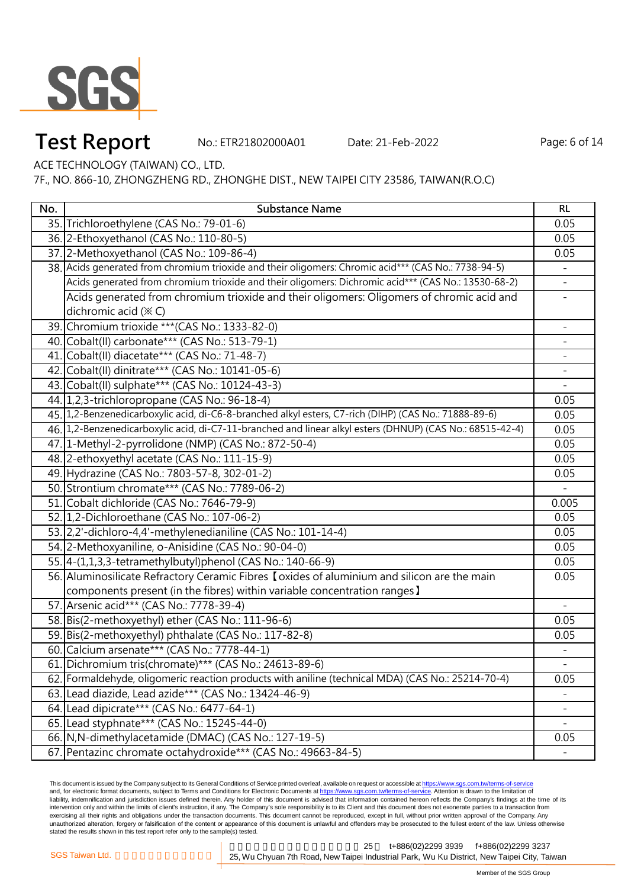

# **Test Report** No.: ETR21802000A01 Date: 21-Feb-2022 Page: 6 of 14

ACE TECHNOLOGY (TAIWAN) CO., LTD.

7F., NO. 866-10, ZHONGZHENG RD., ZHONGHE DIST., NEW TAIPEI CITY 23586, TAIWAN(R.O.C)

| No. | <b>Substance Name</b>                                                                                     | <b>RL</b>                |
|-----|-----------------------------------------------------------------------------------------------------------|--------------------------|
|     | 35. Trichloroethylene (CAS No.: 79-01-6)                                                                  | 0.05                     |
|     | 36. 2-Ethoxyethanol (CAS No.: 110-80-5)                                                                   | 0.05                     |
|     | 37. 2-Methoxyethanol (CAS No.: 109-86-4)                                                                  | 0.05                     |
|     | 38. Acids generated from chromium trioxide and their oligomers: Chromic acid*** (CAS No.: 7738-94-5)      | $\blacksquare$           |
|     | Acids generated from chromium trioxide and their oligomers: Dichromic acid*** (CAS No.: 13530-68-2)       | $\overline{\phantom{a}}$ |
|     | Acids generated from chromium trioxide and their oligomers: Oligomers of chromic acid and                 |                          |
|     | dichromic acid (※ C)                                                                                      |                          |
|     | 39. Chromium trioxide *** (CAS No.: 1333-82-0)                                                            | $\overline{\phantom{0}}$ |
|     | 40. Cobalt(II) carbonate*** (CAS No.: 513-79-1)                                                           |                          |
|     | 41. Cobalt(II) diacetate*** (CAS No.: 71-48-7)                                                            |                          |
|     | 42. Cobalt(II) dinitrate*** (CAS No.: 10141-05-6)                                                         |                          |
|     | 43. Cobalt(II) sulphate*** (CAS No.: 10124-43-3)                                                          |                          |
|     | 44. 1,2,3-trichloropropane (CAS No.: 96-18-4)                                                             | 0.05                     |
|     | 45. 1,2-Benzenedicarboxylic acid, di-C6-8-branched alkyl esters, C7-rich (DIHP) (CAS No.: 71888-89-6)     | 0.05                     |
|     | 46. 1,2-Benzenedicarboxylic acid, di-C7-11-branched and linear alkyl esters (DHNUP) (CAS No.: 68515-42-4) | 0.05                     |
|     | 47. 1-Methyl-2-pyrrolidone (NMP) (CAS No.: 872-50-4)                                                      | 0.05                     |
|     | 48. 2-ethoxyethyl acetate (CAS No.: 111-15-9)                                                             | 0.05                     |
|     | 49. Hydrazine (CAS No.: 7803-57-8, 302-01-2)                                                              | 0.05                     |
|     | 50. Strontium chromate*** (CAS No.: 7789-06-2)                                                            |                          |
|     | 51. Cobalt dichloride (CAS No.: 7646-79-9)                                                                | 0.005                    |
|     | 52. 1,2-Dichloroethane (CAS No.: 107-06-2)                                                                | 0.05                     |
|     | 53. 2,2'-dichloro-4,4'-methylenedianiline (CAS No.: 101-14-4)                                             | 0.05                     |
|     | 54. 2-Methoxyaniline, o-Anisidine (CAS No.: 90-04-0)                                                      | 0.05                     |
|     | 55. 4-(1,1,3,3-tetramethylbutyl)phenol (CAS No.: 140-66-9)                                                | 0.05                     |
|     | 56. Aluminosilicate Refractory Ceramic Fibres 【oxides of aluminium and silicon are the main               | 0.05                     |
|     | components present (in the fibres) within variable concentration ranges ]                                 |                          |
|     | 57. Arsenic acid*** (CAS No.: 7778-39-4)                                                                  |                          |
|     | 58. Bis(2-methoxyethyl) ether (CAS No.: 111-96-6)                                                         | 0.05                     |
|     | 59. Bis(2-methoxyethyl) phthalate (CAS No.: 117-82-8)                                                     | 0.05                     |
|     | 60. Calcium arsenate*** (CAS No.: 7778-44-1)                                                              |                          |
|     | 61. Dichromium tris(chromate)*** (CAS No.: 24613-89-6)                                                    | $\overline{\phantom{a}}$ |
|     | 62. Formaldehyde, oligomeric reaction products with aniline (technical MDA) (CAS No.: 25214-70-4)         | 0.05                     |
|     | 63. Lead diazide, Lead azide*** (CAS No.: 13424-46-9)                                                     |                          |
|     | 64. Lead dipicrate*** (CAS No.: 6477-64-1)                                                                |                          |
|     | 65. Lead styphnate*** (CAS No.: 15245-44-0)                                                               |                          |
|     | 66. N, N-dimethylacetamide (DMAC) (CAS No.: 127-19-5)                                                     | 0.05                     |
|     | 67. Pentazinc chromate octahydroxide*** (CAS No.: 49663-84-5)                                             | $\overline{\phantom{a}}$ |

This document is issued by the Company subject to its General Conditions of Service printed overleaf, available on request or accessible at <u>https://www.sgs.com.tw/terms-of-service</u><br>and, for electronic format documents, su liability, indemnification and jurisdiction issues defined therein. Any holder of this document is advised that information contained hereon reflects the Company's findings at the time of its intervention only and within the limits of client's instruction, if any. The Company's sole responsibility is to its Client and this document does not exonerate parties to a transaction from exercising all their rights and obligations under the transaction documents. This document cannot be reproduced, except in full, without prior written approval of the Company. Any<br>unauthorized alteration, forgery or falsif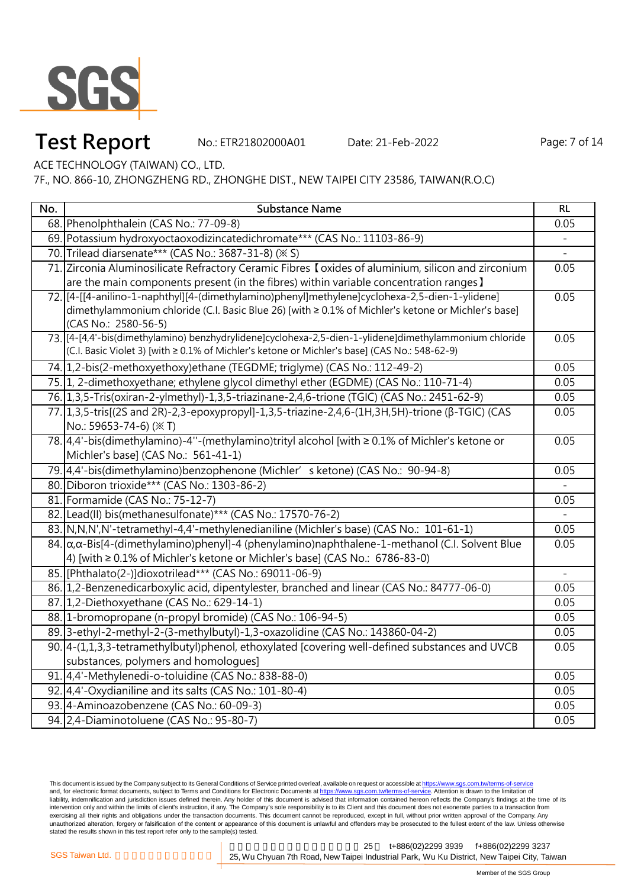

# **Test Report** No.: ETR21802000A01 Date: 21-Feb-2022 Page: 7 of 14

ACE TECHNOLOGY (TAIWAN) CO., LTD.

7F., NO. 866-10, ZHONGZHENG RD., ZHONGHE DIST., NEW TAIPEI CITY 23586, TAIWAN(R.O.C)

| No. | <b>Substance Name</b>                                                                                                                                                                                                        | $\overline{RL}$ |
|-----|------------------------------------------------------------------------------------------------------------------------------------------------------------------------------------------------------------------------------|-----------------|
|     | 68. Phenolphthalein (CAS No.: 77-09-8)                                                                                                                                                                                       | 0.05            |
|     | 69. Potassium hydroxyoctaoxodizincatedichromate*** (CAS No.: 11103-86-9)                                                                                                                                                     |                 |
|     | 70. Trilead diarsenate*** (CAS No.: 3687-31-8) (※ S)                                                                                                                                                                         | $\frac{1}{2}$   |
|     | 71. Zirconia Aluminosilicate Refractory Ceramic Fibres 【oxides of aluminium, silicon and zirconium<br>are the main components present (in the fibres) within variable concentration ranges I                                 | 0.05            |
|     | 72. [4-[[4-anilino-1-naphthyl][4-(dimethylamino)phenyl]methylene]cyclohexa-2,5-dien-1-ylidene]<br>dimethylammonium chloride (C.I. Basic Blue 26) [with ≥ 0.1% of Michler's ketone or Michler's base]<br>(CAS No.: 2580-56-5) | 0.05            |
|     | 73. [4-[4,4'-bis(dimethylamino) benzhydrylidene]cyclohexa-2,5-dien-1-ylidene]dimethylammonium chloride<br>(C.I. Basic Violet 3) [with ≥ 0.1% of Michler's ketone or Michler's base] (CAS No.: 548-62-9)                      | 0.05            |
|     | 74. 1.2-bis(2-methoxyethoxy)ethane (TEGDME; triglyme) (CAS No.: 112-49-2)                                                                                                                                                    | 0.05            |
|     | 75. 1, 2-dimethoxyethane; ethylene glycol dimethyl ether (EGDME) (CAS No.: 110-71-4)                                                                                                                                         | 0.05            |
|     | 76. 1,3,5-Tris(oxiran-2-ylmethyl)-1,3,5-triazinane-2,4,6-trione (TGIC) (CAS No.: 2451-62-9)                                                                                                                                  | 0.05            |
|     | 77. 1, 3, 5-tris[(2S and 2R)-2, 3-epoxypropyl]-1, 3, 5-triazine-2, 4, 6-(1H, 3H, 5H)-trione (β-TGIC) (CAS<br>No.: 59653-74-6) (※ T)                                                                                          | 0.05            |
|     | 78. $ 4,4 -$ bis(dimethylamino)-4"-(methylamino)trityl alcohol [with $\geq$ 0.1% of Michler's ketone or<br>Michler's base] (CAS No.: 561-41-1)                                                                               | 0.05            |
|     | 79. 4,4'-bis(dimethylamino)benzophenone (Michler' s ketone) (CAS No.: 90-94-8)                                                                                                                                               | 0.05            |
|     | 80. Diboron trioxide*** (CAS No.: 1303-86-2)                                                                                                                                                                                 |                 |
|     | 81. Formamide (CAS No.: 75-12-7)                                                                                                                                                                                             | 0.05            |
|     | 82. Lead(II) bis(methanesulfonate)*** (CAS No.: 17570-76-2)                                                                                                                                                                  |                 |
|     | 83. N, N, N', N'-tetramethyl-4,4'-methylenedianiline (Michler's base) (CAS No.: 101-61-1)                                                                                                                                    | 0.05            |
|     | 84. $\alpha$ , α-Bis[4-(dimethylamino)phenyl]-4 (phenylamino)naphthalene-1-methanol (C.I. Solvent Blue<br>4) [with ≥ 0.1% of Michler's ketone or Michler's base] (CAS No.: 6786-83-0)                                        | 0.05            |
|     | 85. [Phthalato(2-)]dioxotrilead*** (CAS No.: 69011-06-9)                                                                                                                                                                     | $\sim$          |
|     | 86. 1,2-Benzenedicarboxylic acid, dipentylester, branched and linear (CAS No.: 84777-06-0)                                                                                                                                   | 0.05            |
|     | 87. 1,2-Diethoxyethane (CAS No.: 629-14-1)                                                                                                                                                                                   | 0.05            |
|     | 88. 1-bromopropane (n-propyl bromide) (CAS No.: 106-94-5)                                                                                                                                                                    | 0.05            |
|     | 89. 3-ethyl-2-methyl-2-(3-methylbutyl)-1,3-oxazolidine (CAS No.: 143860-04-2)                                                                                                                                                | 0.05            |
|     | 90. 4-(1,1,3,3-tetramethylbutyl)phenol, ethoxylated [covering well-defined substances and UVCB<br>substances, polymers and homologues]                                                                                       | 0.05            |
|     | 91. 4,4'-Methylenedi-o-toluidine (CAS No.: 838-88-0)                                                                                                                                                                         | 0.05            |
|     | 92. 4,4'-Oxydianiline and its salts (CAS No.: 101-80-4)                                                                                                                                                                      | 0.05            |
|     | 93. 4-Aminoazobenzene (CAS No.: 60-09-3)                                                                                                                                                                                     | 0.05            |
|     | 94. 2,4-Diaminotoluene (CAS No.: 95-80-7)                                                                                                                                                                                    | 0.05            |

This document is issued by the Company subject to its General Conditions of Service printed overleaf, available on request or accessible at <u>https://www.sgs.com.tw/terms-of-service</u><br>and, for electronic format documents, su liability, indemnification and jurisdiction issues defined therein. Any holder of this document is advised that information contained hereon reflects the Company's findings at the time of its intervention only and within the limits of client's instruction, if any. The Company's sole responsibility is to its Client and this document does not exonerate parties to a transaction from exercising all their rights and obligations under the transaction documents. This document cannot be reproduced, except in full, without prior written approval of the Company. Any<br>unauthorized alteration, forgery or falsif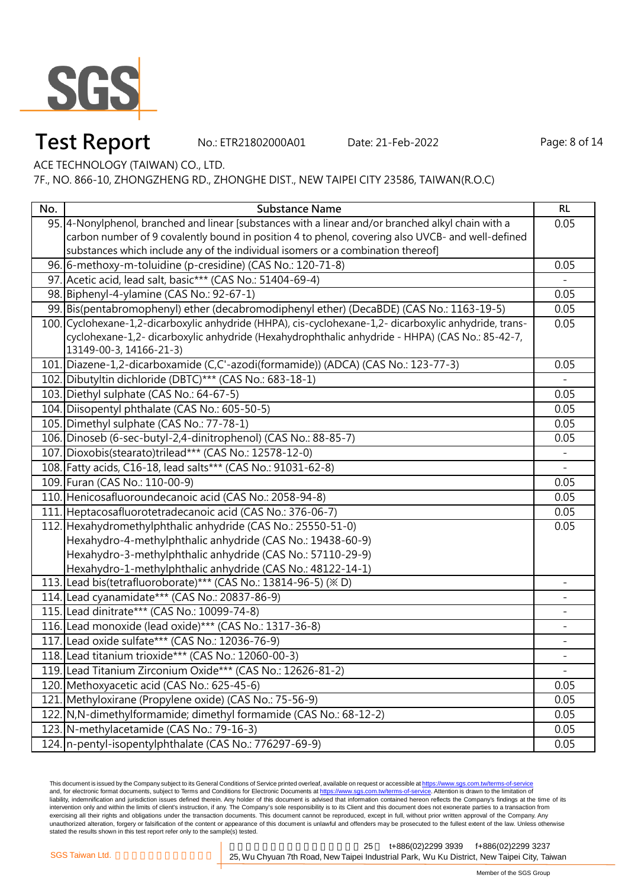

# **Test Report** No.: ETR21802000A01 Date: 21-Feb-2022 Page: 8 of 14

ACE TECHNOLOGY (TAIWAN) CO., LTD.

7F., NO. 866-10, ZHONGZHENG RD., ZHONGHE DIST., NEW TAIPEI CITY 23586, TAIWAN(R.O.C)

| No. | <b>Substance Name</b>                                                                                  | RL                           |
|-----|--------------------------------------------------------------------------------------------------------|------------------------------|
|     | 95. 4-Nonylphenol, branched and linear [substances with a linear and/or branched alkyl chain with a    | 0.05                         |
|     | carbon number of 9 covalently bound in position 4 to phenol, covering also UVCB- and well-defined      |                              |
|     | substances which include any of the individual isomers or a combination thereof]                       |                              |
|     | 96. 6-methoxy-m-toluidine (p-cresidine) (CAS No.: 120-71-8)                                            | 0.05                         |
|     | 97. Acetic acid, lead salt, basic*** (CAS No.: 51404-69-4)                                             |                              |
|     | 98. Biphenyl-4-ylamine (CAS No.: 92-67-1)                                                              | 0.05                         |
|     | 99. Bis(pentabromophenyl) ether (decabromodiphenyl ether) (DecaBDE) (CAS No.: 1163-19-5)               | 0.05                         |
|     | 100. Cyclohexane-1,2-dicarboxylic anhydride (HHPA), cis-cyclohexane-1,2-dicarboxylic anhydride, trans- | 0.05                         |
|     | cyclohexane-1,2- dicarboxylic anhydride (Hexahydrophthalic anhydride - HHPA) (CAS No.: 85-42-7,        |                              |
|     | 13149-00-3, 14166-21-3)                                                                                |                              |
|     | 101. Diazene-1,2-dicarboxamide (C,C'-azodi(formamide)) (ADCA) (CAS No.: 123-77-3)                      | 0.05                         |
|     | 102. Dibutyltin dichloride (DBTC)*** (CAS No.: 683-18-1)                                               |                              |
|     | 103. Diethyl sulphate (CAS No.: 64-67-5)                                                               | 0.05                         |
|     | 104. Diisopentyl phthalate (CAS No.: 605-50-5)                                                         | 0.05                         |
|     | 105. Dimethyl sulphate (CAS No.: 77-78-1)                                                              | 0.05                         |
|     | 106. Dinoseb (6-sec-butyl-2,4-dinitrophenol) (CAS No.: 88-85-7)                                        | 0.05                         |
|     | 107. Dioxobis(stearato)trilead*** (CAS No.: 12578-12-0)                                                |                              |
|     | 108. Fatty acids, C16-18, lead salts*** (CAS No.: 91031-62-8)                                          |                              |
|     | 109. Furan (CAS No.: 110-00-9)                                                                         | 0.05                         |
|     | 110. Henicosafluoroundecanoic acid (CAS No.: 2058-94-8)                                                | 0.05                         |
|     | 111. Heptacosafluorotetradecanoic acid (CAS No.: 376-06-7)                                             | 0.05                         |
|     | 112. Hexahydromethylphthalic anhydride (CAS No.: 25550-51-0)                                           | 0.05                         |
|     | Hexahydro-4-methylphthalic anhydride (CAS No.: 19438-60-9)                                             |                              |
|     | Hexahydro-3-methylphthalic anhydride (CAS No.: 57110-29-9)                                             |                              |
|     | Hexahydro-1-methylphthalic anhydride (CAS No.: 48122-14-1)                                             |                              |
|     | 113. Lead bis(tetrafluoroborate)*** (CAS No.: 13814-96-5) (※ D)                                        |                              |
|     | 114. Lead cyanamidate*** (CAS No.: 20837-86-9)                                                         |                              |
|     | 115. Lead dinitrate*** (CAS No.: 10099-74-8)                                                           |                              |
|     | 116. Lead monoxide (lead oxide)*** (CAS No.: 1317-36-8)                                                |                              |
|     | 117. Lead oxide sulfate*** (CAS No.: 12036-76-9)                                                       | $\overline{\phantom{a}}$     |
|     | 118. Lead titanium trioxide*** (CAS No.: 12060-00-3)                                                   |                              |
|     | 119. Lead Titanium Zirconium Oxide*** (CAS No.: 12626-81-2)                                            | $\qquad \qquad \blacksquare$ |
|     | 120. Methoxyacetic acid (CAS No.: 625-45-6)                                                            | 0.05                         |
|     | 121. Methyloxirane (Propylene oxide) (CAS No.: 75-56-9)                                                | 0.05                         |
|     | 122. N,N-dimethylformamide; dimethyl formamide (CAS No.: 68-12-2)                                      | 0.05                         |
|     | 123. N-methylacetamide (CAS No.: 79-16-3)                                                              | 0.05                         |
|     | 124.   n-pentyl-isopentylphthalate (CAS No.: 776297-69-9)                                              | 0.05                         |

This document is issued by the Company subject to its General Conditions of Service printed overleaf, available on request or accessible at <u>https://www.sgs.com.tw/terms-of-service</u><br>and, for electronic format documents, su liability, indemnification and jurisdiction issues defined therein. Any holder of this document is advised that information contained hereon reflects the Company's findings at the time of its intervention only and within the limits of client's instruction, if any. The Company's sole responsibility is to its Client and this document does not exonerate parties to a transaction from exercising all their rights and obligations under the transaction documents. This document cannot be reproduced, except in full, without prior written approval of the Company. Any<br>unauthorized alteration, forgery or falsif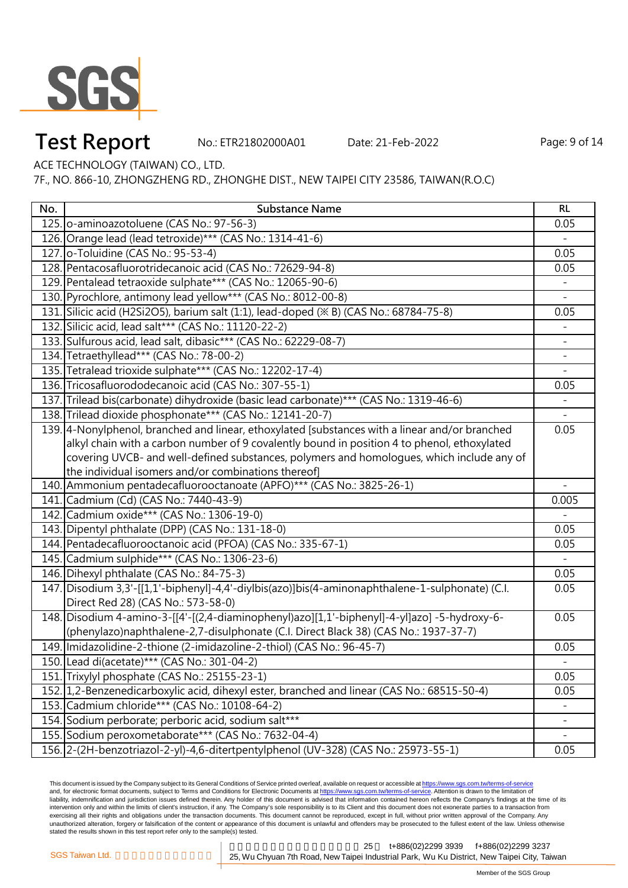

# **Test Report** No.: ETR21802000A01 Date: 21-Feb-2022 Page: 9 of 14

ACE TECHNOLOGY (TAIWAN) CO., LTD.

7F., NO. 866-10, ZHONGZHENG RD., ZHONGHE DIST., NEW TAIPEI CITY 23586, TAIWAN(R.O.C)

| No. | <b>Substance Name</b>                                                                            | <b>RL</b>                    |
|-----|--------------------------------------------------------------------------------------------------|------------------------------|
|     | 125. o-aminoazotoluene (CAS No.: 97-56-3)                                                        | 0.05                         |
|     | 126. Orange lead (lead tetroxide)*** (CAS No.: 1314-41-6)                                        |                              |
|     | 127. o-Toluidine (CAS No.: 95-53-4)                                                              | 0.05                         |
|     | 128. Pentacosafluorotridecanoic acid (CAS No.: 72629-94-8)                                       | 0.05                         |
|     | 129. Pentalead tetraoxide sulphate*** (CAS No.: 12065-90-6)                                      |                              |
|     | 130. Pyrochlore, antimony lead yellow*** (CAS No.: 8012-00-8)                                    |                              |
|     | 131. Silicic acid (H2Si2O5), barium salt (1:1), lead-doped (※ B) (CAS No.: 68784-75-8)           | 0.05                         |
|     | 132. Silicic acid, lead salt*** (CAS No.: 11120-22-2)                                            |                              |
|     | 133. Sulfurous acid, lead salt, dibasic*** (CAS No.: 62229-08-7)                                 |                              |
|     | 134. Tetraethyllead*** (CAS No.: 78-00-2)                                                        | $\overline{\phantom{0}}$     |
|     | 135. Tetralead trioxide sulphate*** (CAS No.: 12202-17-4)                                        |                              |
|     | 136. Tricosafluorododecanoic acid (CAS No.: 307-55-1)                                            | 0.05                         |
|     | 137. Trilead bis(carbonate) dihydroxide (basic lead carbonate)*** (CAS No.: 1319-46-6)           | $\qquad \qquad \blacksquare$ |
|     | 138. Trilead dioxide phosphonate*** (CAS No.: 12141-20-7)                                        |                              |
|     | 139. 4-Nonylphenol, branched and linear, ethoxylated [substances with a linear and/or branched   | 0.05                         |
|     | alkyl chain with a carbon number of 9 covalently bound in position 4 to phenol, ethoxylated      |                              |
|     | covering UVCB- and well-defined substances, polymers and homologues, which include any of        |                              |
|     | the individual isomers and/or combinations thereof]                                              |                              |
|     | 140. Ammonium pentadecafluorooctanoate (APFO)*** (CAS No.: 3825-26-1)                            |                              |
|     | 141. Cadmium (Cd) (CAS No.: 7440-43-9)                                                           | 0.005                        |
|     | 142. Cadmium oxide*** (CAS No.: 1306-19-0)                                                       |                              |
|     | 143. Dipentyl phthalate (DPP) (CAS No.: 131-18-0)                                                | 0.05                         |
|     | 144. Pentadecafluorooctanoic acid (PFOA) (CAS No.: 335-67-1)                                     | 0.05                         |
|     | 145. Cadmium sulphide*** (CAS No.: 1306-23-6)                                                    |                              |
|     | 146. Dihexyl phthalate (CAS No.: 84-75-3)                                                        | 0.05                         |
|     | 147. Disodium 3,3'-[[1,1'-biphenyl]-4,4'-diylbis(azo)]bis(4-aminonaphthalene-1-sulphonate) (C.I. | 0.05                         |
|     | Direct Red 28) (CAS No.: 573-58-0)                                                               |                              |
|     | 148. Disodium 4-amino-3-[[4'-[(2,4-diaminophenyl)azo][1,1'-biphenyl]-4-yl]azo] -5-hydroxy-6-     | 0.05                         |
|     | (phenylazo)naphthalene-2,7-disulphonate (C.I. Direct Black 38) (CAS No.: 1937-37-7)              |                              |
|     | 149. Imidazolidine-2-thione (2-imidazoline-2-thiol) (CAS No.: 96-45-7)                           | 0.05                         |
|     | 150. Lead di(acetate)*** (CAS No.: 301-04-2)                                                     |                              |
|     | 151. Trixylyl phosphate (CAS No.: 25155-23-1)                                                    | 0.05                         |
|     | 152. 1.2-Benzenedicarboxylic acid, dihexyl ester, branched and linear (CAS No.: 68515-50-4)      | 0.05                         |
|     | 153. Cadmium chloride*** (CAS No.: 10108-64-2)                                                   |                              |
|     | 154. Sodium perborate; perboric acid, sodium salt***                                             |                              |
|     | 155. Sodium peroxometaborate*** (CAS No.: 7632-04-4)                                             |                              |
|     | 156. 2-(2H-benzotriazol-2-yl)-4,6-ditertpentylphenol (UV-328) (CAS No.: 25973-55-1)              | 0.05                         |

This document is issued by the Company subject to its General Conditions of Service printed overleaf, available on request or accessible at <u>https://www.sgs.com.tw/terms-of-service</u><br>and, for electronic format documents, su liability, indemnification and jurisdiction issues defined therein. Any holder of this document is advised that information contained hereon reflects the Company's findings at the time of its intervention only and within the limits of client's instruction, if any. The Company's sole responsibility is to its Client and this document does not exonerate parties to a transaction from exercising all their rights and obligations under the transaction documents. This document cannot be reproduced, except in full, without prior written approval of the Company. Any<br>unauthorized alteration, forgery or falsif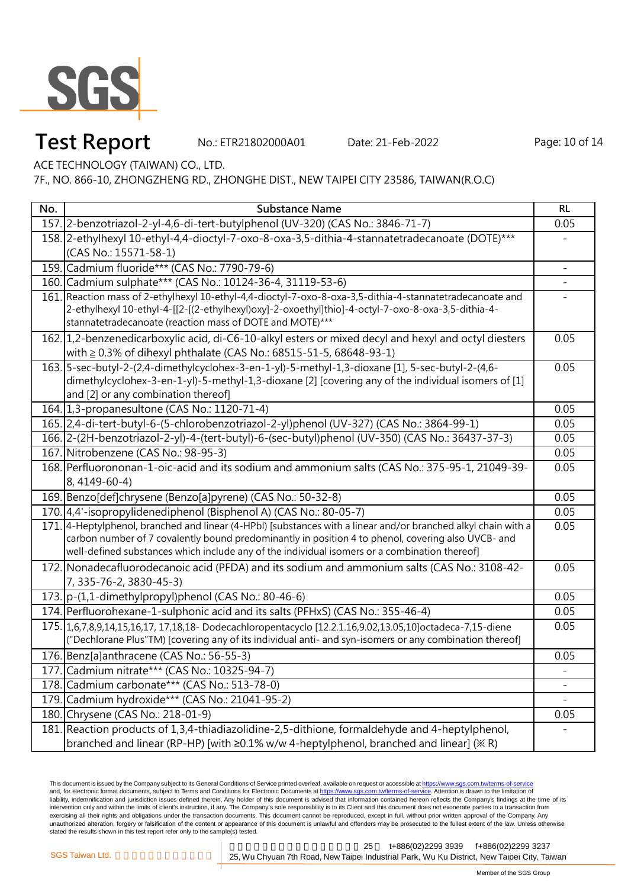

# **Test Report** No.: ETR21802000A01 Date: 21-Feb-2022 Page: 10 of 14

ACE TECHNOLOGY (TAIWAN) CO., LTD.

7F., NO. 866-10, ZHONGZHENG RD., ZHONGHE DIST., NEW TAIPEI CITY 23586, TAIWAN(R.O.C)

| No.   | <b>Substance Name</b>                                                                                                                                                                                                                                                                                                 | RL                       |
|-------|-----------------------------------------------------------------------------------------------------------------------------------------------------------------------------------------------------------------------------------------------------------------------------------------------------------------------|--------------------------|
|       | 157. 2-benzotriazol-2-yl-4,6-di-tert-butylphenol (UV-320) (CAS No.: 3846-71-7)                                                                                                                                                                                                                                        | 0.05                     |
|       | 158. 2-ethylhexyl 10-ethyl-4,4-dioctyl-7-oxo-8-oxa-3,5-dithia-4-stannatetradecanoate (DOTE)***<br>(CAS No.: 15571-58-1)                                                                                                                                                                                               |                          |
|       | 159. Cadmium fluoride*** (CAS No.: 7790-79-6)                                                                                                                                                                                                                                                                         |                          |
|       | 160. Cadmium sulphate*** (CAS No.: 10124-36-4, 31119-53-6)                                                                                                                                                                                                                                                            |                          |
|       | 161. Reaction mass of 2-ethylhexyl 10-ethyl-4,4-dioctyl-7-oxo-8-oxa-3,5-dithia-4-stannatetradecanoate and<br>2-ethylhexyl 10-ethyl-4-[[2-[(2-ethylhexyl)oxy]-2-oxoethyl]thio]-4-octyl-7-oxo-8-oxa-3,5-dithia-4-<br>stannatetradecanoate (reaction mass of DOTE and MOTE)***                                           |                          |
|       | 162. 1,2-benzenedicarboxylic acid, di-C6-10-alkyl esters or mixed decyl and hexyl and octyl diesters<br>with $\geq$ 0.3% of dihexyl phthalate (CAS No.: 68515-51-5, 68648-93-1)                                                                                                                                       | 0.05                     |
|       | 163. 5-sec-butyl-2-(2,4-dimethylcyclohex-3-en-1-yl)-5-methyl-1,3-dioxane [1], 5-sec-butyl-2-(4,6-<br>dimethylcyclohex-3-en-1-yl)-5-methyl-1,3-dioxane [2] [covering any of the individual isomers of [1]<br>and [2] or any combination thereof]                                                                       | 0.05                     |
|       | 164. 1,3-propanesultone (CAS No.: 1120-71-4)                                                                                                                                                                                                                                                                          | 0.05                     |
|       | 165. 2,4-di-tert-butyl-6-(5-chlorobenzotriazol-2-yl)phenol (UV-327) (CAS No.: 3864-99-1)                                                                                                                                                                                                                              | 0.05                     |
|       | 166. 2-(2H-benzotriazol-2-yl)-4-(tert-butyl)-6-(sec-butyl)phenol (UV-350) (CAS No.: 36437-37-3)                                                                                                                                                                                                                       | 0.05                     |
|       | 167. Nitrobenzene (CAS No.: 98-95-3)                                                                                                                                                                                                                                                                                  | 0.05                     |
|       | 168. Perfluorononan-1-oic-acid and its sodium and ammonium salts (CAS No.: 375-95-1, 21049-39-<br>8, 4149-60-4)                                                                                                                                                                                                       | 0.05                     |
|       | 169. Benzo[def]chrysene (Benzo[a]pyrene) (CAS No.: 50-32-8)                                                                                                                                                                                                                                                           | 0.05                     |
|       | 170. 4,4'-isopropylidenediphenol (Bisphenol A) (CAS No.: 80-05-7)                                                                                                                                                                                                                                                     | 0.05                     |
|       | 171. 4-Heptylphenol, branched and linear (4-HPbl) [substances with a linear and/or branched alkyl chain with a<br>carbon number of 7 covalently bound predominantly in position 4 to phenol, covering also UVCB- and<br>well-defined substances which include any of the individual isomers or a combination thereof] | 0.05                     |
|       | 172. Nonadecafluorodecanoic acid (PFDA) and its sodium and ammonium salts (CAS No.: 3108-42-<br>7, 335-76-2, 3830-45-3)                                                                                                                                                                                               | 0.05                     |
|       | 173. p-(1,1-dimethylpropyl)phenol (CAS No.: 80-46-6)                                                                                                                                                                                                                                                                  | 0.05                     |
|       | 174. Perfluorohexane-1-sulphonic acid and its salts (PFHxS) (CAS No.: 355-46-4)                                                                                                                                                                                                                                       | 0.05                     |
|       | 175. 1,6,7,8,9,14,15,16,17, 17,18,18- Dodecachloropentacyclo [12.2.1.16,9.02,13.05,10]octadeca-7,15-diene<br>("Dechlorane Plus"TM) [covering any of its individual anti- and syn-isomers or any combination thereof]                                                                                                  | 0.05                     |
|       | 176. Benz[a]anthracene (CAS No.: 56-55-3)                                                                                                                                                                                                                                                                             | 0.05                     |
| 177.I | Cadmium nitrate*** (CAS No.: 10325-94-7)                                                                                                                                                                                                                                                                              | $\overline{\phantom{a}}$ |
|       | 178. Cadmium carbonate*** (CAS No.: 513-78-0)                                                                                                                                                                                                                                                                         | $\overline{\phantom{a}}$ |
|       | 179. Cadmium hydroxide*** (CAS No.: 21041-95-2)                                                                                                                                                                                                                                                                       |                          |
|       | 180. Chrysene (CAS No.: 218-01-9)                                                                                                                                                                                                                                                                                     | 0.05                     |
|       | 181. Reaction products of 1,3,4-thiadiazolidine-2,5-dithione, formaldehyde and 4-heptylphenol,<br>branched and linear (RP-HP) [with $\geq$ 0.1% w/w 4-heptylphenol, branched and linear] ( $\leq$ R)                                                                                                                  |                          |

This document is issued by the Company subject to its General Conditions of Service printed overleaf, available on request or accessible at <u>https://www.sgs.com.tw/terms-of-service</u><br>and, for electronic format documents, su liability, indemnification and jurisdiction issues defined therein. Any holder of this document is advised that information contained hereon reflects the Company's findings at the time of its intervention only and within the limits of client's instruction, if any. The Company's sole responsibility is to its Client and this document does not exonerate parties to a transaction from exercising all their rights and obligations under the transaction documents. This document cannot be reproduced, except in full, without prior written approval of the Company. Any<br>unauthorized alteration, forgery or falsif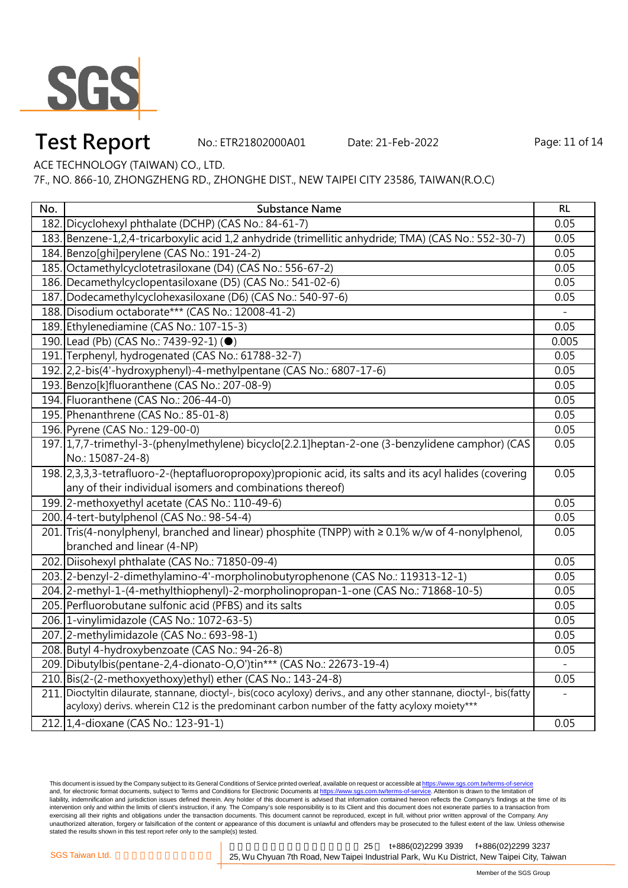

# **Test Report** No.: ETR21802000A01 Date: 21-Feb-2022 Page: 11 of 14

ACE TECHNOLOGY (TAIWAN) CO., LTD.

7F., NO. 866-10, ZHONGZHENG RD., ZHONGHE DIST., NEW TAIPEI CITY 23586, TAIWAN(R.O.C)

| No.  | <b>Substance Name</b>                                                                                            | RL    |
|------|------------------------------------------------------------------------------------------------------------------|-------|
|      | 182. Dicyclohexyl phthalate (DCHP) (CAS No.: 84-61-7)                                                            | 0.05  |
|      | 183. Benzene-1,2,4-tricarboxylic acid 1,2 anhydride (trimellitic anhydride; TMA) (CAS No.: 552-30-7)             | 0.05  |
|      | 184. Benzo[ghi]perylene (CAS No.: 191-24-2)                                                                      | 0.05  |
|      | 185. Octamethylcyclotetrasiloxane (D4) (CAS No.: 556-67-2)                                                       | 0.05  |
|      | 186. Decamethylcyclopentasiloxane (D5) (CAS No.: 541-02-6)                                                       | 0.05  |
|      | 187. Dodecamethylcyclohexasiloxane (D6) (CAS No.: 540-97-6)                                                      | 0.05  |
|      | 188. Disodium octaborate*** (CAS No.: 12008-41-2)                                                                |       |
|      | 189. Ethylenediamine (CAS No.: 107-15-3)                                                                         | 0.05  |
|      | 190. Lead (Pb) (CAS No.: 7439-92-1) (●)                                                                          | 0.005 |
|      | 191. Terphenyl, hydrogenated (CAS No.: 61788-32-7)                                                               | 0.05  |
|      | 192. 2,2-bis(4'-hydroxyphenyl)-4-methylpentane (CAS No.: 6807-17-6)                                              | 0.05  |
|      | 193. Benzo[k]fluoranthene (CAS No.: 207-08-9)                                                                    | 0.05  |
|      | 194. Fluoranthene (CAS No.: 206-44-0)                                                                            | 0.05  |
|      | 195. Phenanthrene (CAS No.: 85-01-8)                                                                             | 0.05  |
|      | 196. Pyrene (CAS No.: 129-00-0)                                                                                  | 0.05  |
|      | 197. 1,7,7-trimethyl-3-(phenylmethylene) bicyclo[2.2.1]heptan-2-one (3-benzylidene camphor) (CAS                 | 0.05  |
|      | No.: 15087-24-8)                                                                                                 |       |
|      | 198. 2,3,3,3-tetrafluoro-2-(heptafluoropropoxy)propionic acid, its salts and its acyl halides (covering          | 0.05  |
|      | any of their individual isomers and combinations thereof)                                                        |       |
|      | 199. 2-methoxyethyl acetate (CAS No.: 110-49-6)                                                                  | 0.05  |
|      | 200. 4-tert-butylphenol (CAS No.: 98-54-4)                                                                       | 0.05  |
|      | 201. Tris(4-nonylphenyl, branched and linear) phosphite (TNPP) with ≥ 0.1% w/w of 4-nonylphenol,                 | 0.05  |
|      | branched and linear (4-NP)                                                                                       |       |
|      | 202. Diisohexyl phthalate (CAS No.: 71850-09-4)                                                                  | 0.05  |
|      | 203. 2-benzyl-2-dimethylamino-4'-morpholinobutyrophenone (CAS No.: 119313-12-1)                                  | 0.05  |
|      | 204. 2-methyl-1-(4-methylthiophenyl)-2-morpholinopropan-1-one (CAS No.: 71868-10-5)                              | 0.05  |
|      | 205. Perfluorobutane sulfonic acid (PFBS) and its salts                                                          | 0.05  |
|      | 206. 1-vinylimidazole (CAS No.: 1072-63-5)                                                                       | 0.05  |
|      | 207. 2-methylimidazole (CAS No.: 693-98-1)                                                                       | 0.05  |
|      | 208. Butyl 4-hydroxybenzoate (CAS No.: 94-26-8)                                                                  | 0.05  |
|      | 209. Dibutylbis(pentane-2,4-dionato-O,O')tin*** (CAS No.: 22673-19-4)                                            |       |
|      | 210. Bis(2-(2-methoxyethoxy)ethyl) ether (CAS No.: 143-24-8)                                                     | 0.05  |
| 211. | Dioctyltin dilaurate, stannane, dioctyl-, bis(coco acyloxy) derivs., and any other stannane, dioctyl-, bis(fatty |       |
|      | acyloxy) derivs. wherein C12 is the predominant carbon number of the fatty acyloxy moiety***                     |       |
|      | 212. 1.4-dioxane (CAS No.: 123-91-1)                                                                             | 0.05  |

This document is issued by the Company subject to its General Conditions of Service printed overleaf, available on request or accessible at <u>https://www.sgs.com.tw/terms-of-service</u><br>and, for electronic format documents, su liability, indemnification and jurisdiction issues defined therein. Any holder of this document is advised that information contained hereon reflects the Company's findings at the time of its intervention only and within the limits of client's instruction, if any. The Company's sole responsibility is to its Client and this document does not exonerate parties to a transaction from exercising all their rights and obligations under the transaction documents. This document cannot be reproduced, except in full, without prior written approval of the Company. Any<br>unauthorized alteration, forgery or falsif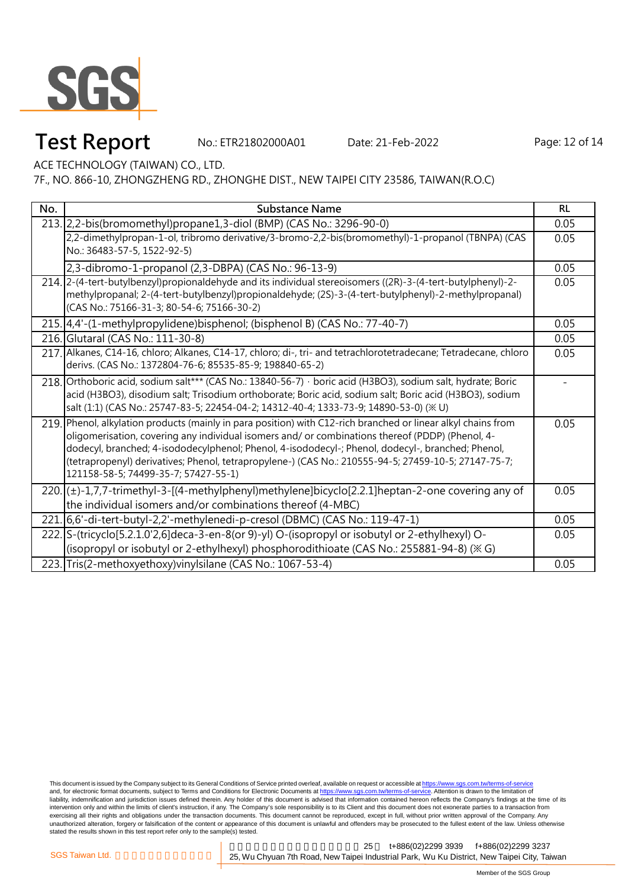

# **Test Report** Mo.: ETR21802000A01 Date: 21-Feb-2022 Page: 12 of 14

ACE TECHNOLOGY (TAIWAN) CO., LTD.

7F., NO. 866-10, ZHONGZHENG RD., ZHONGHE DIST., NEW TAIPEI CITY 23586, TAIWAN(R.O.C)

| No. | <b>Substance Name</b>                                                                                                                                                                                                                                                                                                                                                                                                                                                  | <b>RL</b> |
|-----|------------------------------------------------------------------------------------------------------------------------------------------------------------------------------------------------------------------------------------------------------------------------------------------------------------------------------------------------------------------------------------------------------------------------------------------------------------------------|-----------|
|     | 213. 2.2-bis(bromomethyl) propane 1, 3-diol (BMP) (CAS No.: 3296-90-0)                                                                                                                                                                                                                                                                                                                                                                                                 | 0.05      |
|     | 2,2-dimethylpropan-1-ol, tribromo derivative/3-bromo-2,2-bis(bromomethyl)-1-propanol (TBNPA) (CAS<br>No.: 36483-57-5, 1522-92-5)                                                                                                                                                                                                                                                                                                                                       | 0.05      |
|     | 2,3-dibromo-1-propanol (2,3-DBPA) (CAS No.: 96-13-9)                                                                                                                                                                                                                                                                                                                                                                                                                   | 0.05      |
|     | 214. 2-(4-tert-butylbenzyl) propional dehyde and its individual stereoisomers ((2R)-3-(4-tert-butylphenyl)-2-<br>methylpropanal; 2-(4-tert-butylbenzyl)propionaldehyde; (2S)-3-(4-tert-butylphenyl)-2-methylpropanal)<br>(CAS No.: 75166-31-3; 80-54-6; 75166-30-2)                                                                                                                                                                                                    | 0.05      |
|     | 215. [4,4'-(1-methylpropylidene)bisphenol; (bisphenol B) (CAS No.: 77-40-7)                                                                                                                                                                                                                                                                                                                                                                                            | 0.05      |
|     | 216. Glutaral (CAS No.: 111-30-8)                                                                                                                                                                                                                                                                                                                                                                                                                                      | 0.05      |
|     | 217. Alkanes, C14-16, chloro; Alkanes, C14-17, chloro; di-, tri- and tetrachlorotetradecane; Tetradecane, chloro<br>derivs. (CAS No.: 1372804-76-6; 85535-85-9; 198840-65-2)                                                                                                                                                                                                                                                                                           | 0.05      |
|     | 218. Orthoboric acid, sodium salt*** (CAS No.: 13840-56-7) · boric acid (H3BO3), sodium salt, hydrate; Boric<br>acid (H3BO3), disodium salt; Trisodium orthoborate; Boric acid, sodium salt; Boric acid (H3BO3), sodium<br>salt (1:1) (CAS No.: 25747-83-5; 22454-04-2; 14312-40-4; 1333-73-9; 14890-53-0) (※ U)                                                                                                                                                       |           |
|     | 219. Phenol, alkylation products (mainly in para position) with C12-rich branched or linear alkyl chains from<br>oligomerisation, covering any individual isomers and/ or combinations thereof (PDDP) (Phenol, 4-<br>dodecyl, branched; 4-isododecylphenol; Phenol, 4-isododecyl-; Phenol, dodecyl-, branched; Phenol,<br>(tetrapropenyl) derivatives; Phenol, tetrapropylene-) (CAS No.: 210555-94-5; 27459-10-5; 27147-75-7;<br>121158-58-5; 74499-35-7; 57427-55-1) | 0.05      |
|     | $220.$ ( $\pm$ )-1,7,7-trimethyl-3-[(4-methylphenyl)methylene]bicyclo[2.2.1]heptan-2-one covering any of<br>the individual isomers and/or combinations thereof (4-MBC)                                                                                                                                                                                                                                                                                                 | 0.05      |
|     | 221. 6,6'-di-tert-butyl-2,2'-methylenedi-p-cresol (DBMC) (CAS No.: 119-47-1)                                                                                                                                                                                                                                                                                                                                                                                           | 0.05      |
|     | 222. S-(tricyclo[5.2.1.0'2,6]deca-3-en-8(or 9)-yl) O-(isopropyl or isobutyl or 2-ethylhexyl) O-<br>(isopropyl or isobutyl or 2-ethylhexyl) phosphorodithioate (CAS No.: 255881-94-8) (※ G)                                                                                                                                                                                                                                                                             | 0.05      |
|     | 223. Tris(2-methoxyethoxy) vinylsilane (CAS No.: 1067-53-4)                                                                                                                                                                                                                                                                                                                                                                                                            | 0.05      |
|     |                                                                                                                                                                                                                                                                                                                                                                                                                                                                        |           |

This document is issued by the Company subject to its General Conditions of Service printed overleaf, available on request or accessible at <u>https://www.sgs.com.tw/terms-of-service</u><br>and, for electronic format documents, su liability, indemnification and jurisdiction issues defined therein. Any holder of this document is advised that information contained hereon reflects the Company's findings at the time of its intervention only and within the limits of client's instruction, if any. The Company's sole responsibility is to its Client and this document does not exonerate parties to a transaction from exercising all their rights and obligations under the transaction documents. This document cannot be reproduced, except in full, without prior written approval of the Company. Any<br>unauthorized alteration, forgery or falsif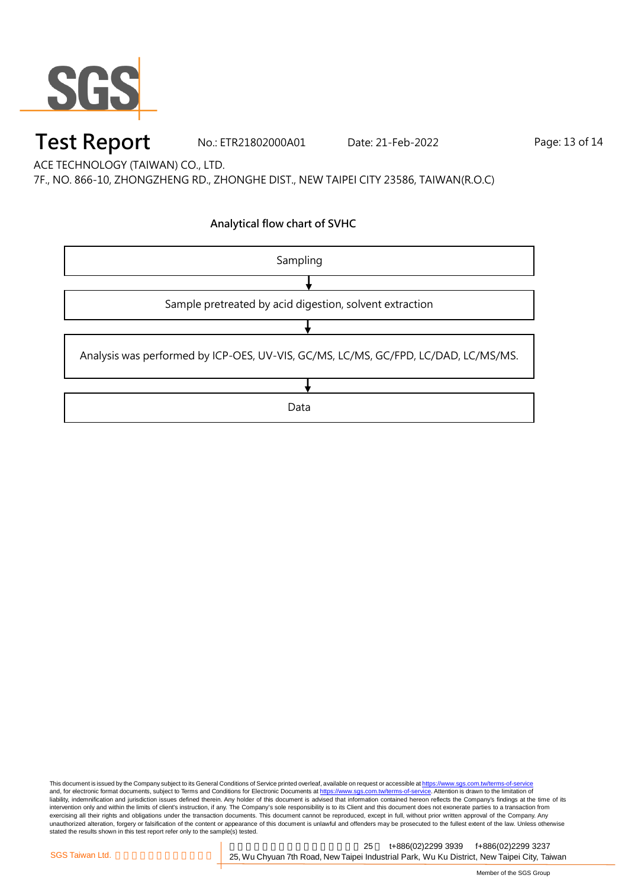

### **Test Report** No.: ETR21802000A01 Date: 21-Feb-2022 Page: 13 of 14

ACE TECHNOLOGY (TAIWAN) CO., LTD.

7F., NO. 866-10, ZHONGZHENG RD., ZHONGHE DIST., NEW TAIPEI CITY 23586, TAIWAN(R.O.C)

#### **Analytical flow chart of SVHC**



This document is issued by the Company subject to its General Conditions of Service printed overleaf, available on request or accessible at <u>https://www.sgs.com.tw/terms-of-service</u><br>and, for electronic format documents, su liability, indemnification and jurisdiction issues defined therein. Any holder of this document is advised that information contained hereon reflects the Company's findings at the time of its intervention only and within the limits of client's instruction, if any. The Company's sole responsibility is to its Client and this document does not exonerate parties to a transaction from exercising all their rights and obligations under the transaction documents. This document cannot be reproduced, except in full, without prior written approval of the Company. Any<br>unauthorized alteration, forgery or falsif